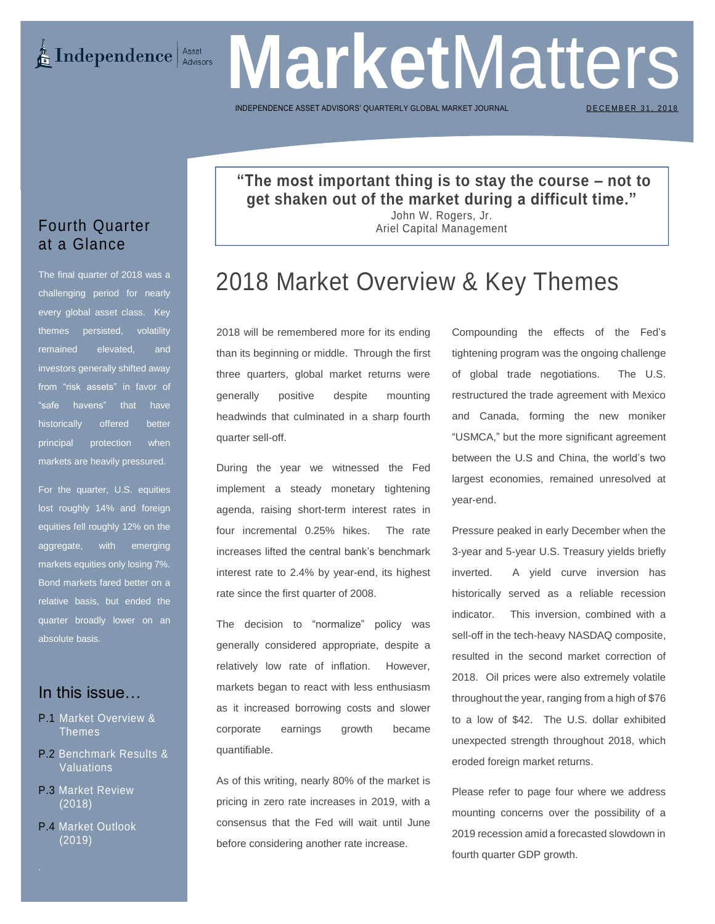**Market** Matters **E** Independence Asset Advisors

INDEPENDENCE ASSET ADVISORS' QUARTERLY GLOBAL MARKET

DECEMBER 31, 2018

## **"The most important thing is to stay the course – not to get shaken out of the market during a difficult time."**

John W. Rogers, Jr. Ariel Capital Management

## 2018 Market Overview & Key Themes

2018 will be remembered more for its ending than its beginning or middle. Through the first three quarters, global market returns were generally positive despite mounting headwinds that culminated in a sharp fourth quarter sell-off.

During the year we witnessed the Fed implement a steady monetary tightening agenda, raising short-term interest rates in four incremental 0.25% hikes. The rate increases lifted the central bank's benchmark interest rate to 2.4% by year-end, its highest rate since the first quarter of 2008.

The decision to "normalize" policy was generally considered appropriate, despite a relatively low rate of inflation. However, markets began to react with less enthusiasm as it increased borrowing costs and slower corporate earnings growth became quantifiable.

As of this writing, nearly 80% of the market is pricing in zero rate increases in 2019, with a consensus that the Fed will wait until June before considering another rate increase.

Compounding the effects of the Fed's tightening program was the ongoing challenge of global trade negotiations. The U.S. restructured the trade agreement with Mexico and Canada, forming the new moniker "USMCA," but the more significant agreement between the U.S and China, the world's two largest economies, remained unresolved at year-end.

Pressure peaked in early December when the 3-year and 5-year U.S. Treasury yields briefly inverted. A yield curve inversion has historically served as a reliable recession indicator. This inversion, combined with a sell-off in the tech-heavy NASDAQ composite, resulted in the second market correction of 2018. Oil prices were also extremely volatile throughout the year, ranging from a high of \$76 to a low of \$42. The U.S. dollar exhibited unexpected strength throughout 2018, which eroded foreign market returns.

Please refer to page four where we address mounting concerns over the possibility of a 2019 recession amid a forecasted slowdown in fourth quarter GDP growth.

## Fourth Quarter at a Glance

The final quarter of 2018 was a challenging period for nearly every global asset class. Key themes persisted, volatility remained elevated, and investors generally shifted away from "risk assets" in favor of "safe havens" that have historically offered better principal protection when markets are heavily pressured.

For the quarter, U.S. equities lost roughly 14% and foreign equities fell roughly 12% on the aggregate, with emerging markets equities only losing 7%. Bond markets fared better on a relative basis, but ended the quarter broadly lower on an absolute basis.

## In this issue…

- P.1 Market Overview & Themes
- P.2 Benchmark Results & Valuations
- P.3 Market Review (2018)
- P.4 Market Outlook (2019)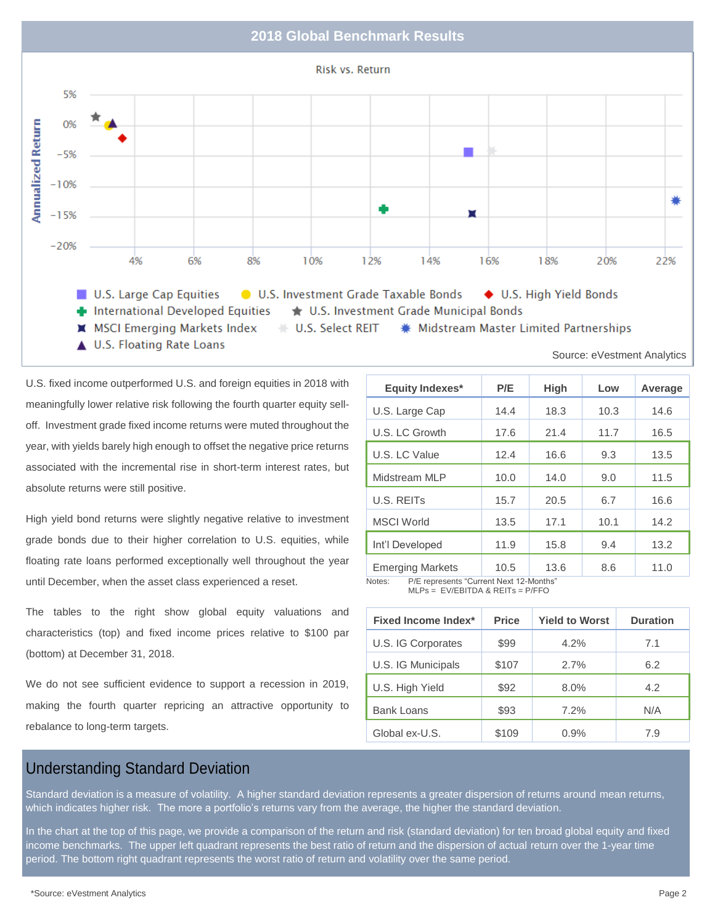### **2018 Global Benchmark Results**



U.S. fixed income outperformed U.S. and foreign equities in 2018 with meaningfully lower relative risk following the fourth quarter equity selloff. Investment grade fixed income returns were muted throughout the year, with yields barely high enough to offset the negative price returns associated with the incremental rise in short-term interest rates, but absolute returns were still positive.

High yield bond returns were slightly negative relative to investment grade bonds due to their higher correlation to U.S. equities, while floating rate loans performed exceptionally well throughout the year until December, when the asset class experienced a reset.

The tables to the right show global equity valuations and characteristics (top) and fixed income prices relative to \$100 par (bottom) at December 31, 2018.

We do not see sufficient evidence to support a recession in 2019, making the fourth quarter repricing an attractive opportunity to rebalance to long-term targets.

| P/E  | <b>High</b> | Low  | Average                                 |
|------|-------------|------|-----------------------------------------|
| 14.4 | 18.3        | 10.3 | 14.6                                    |
| 17.6 | 21.4        | 11.7 | 16.5                                    |
| 12.4 | 16.6        | 9.3  | 13.5                                    |
| 10.0 | 14.0        | 9.0  | 11.5                                    |
| 15.7 | 20.5        | 6.7  | 16.6                                    |
| 13.5 | 17.1        | 10.1 | 14.2                                    |
| 11.9 | 15.8        | 9.4  | 13.2                                    |
| 10.5 | 13.6        | 8.6  | 11.0                                    |
|      |             |      | P/E represents "Current Next 12-Months" |

 $MLPs = EV/EBITDA & REITS = P/FFO$ 

| <b>Fixed Income Index*</b> | <b>Price</b> | <b>Yield to Worst</b> | <b>Duration</b> |
|----------------------------|--------------|-----------------------|-----------------|
| U.S. IG Corporates         | \$99         | 4.2%                  | 7.1             |
| U.S. IG Municipals         | \$107        | 2.7%                  | 6.2             |
| U.S. High Yield            | \$92         | $8.0\%$               | 4.2             |
| <b>Bank Loans</b>          | \$93         | 7.2%                  | N/A             |
| Global ex-U.S.             | \$109        | 0.9%                  | 7.9             |

## Understanding Standard Deviation

Standard deviation is a measure of volatility. A higher standard deviation represents a greater dispersion of returns around mean returns, which indicates higher risk. The more a portfolio's returns vary from the average, the higher the standard deviation.

In the chart at the top of this page, we provide a comparison of the return and risk (standard deviation) for ten broad global equity and fixed income benchmarks. The upper left quadrant represents the best ratio of return and the dispersion of actual return over the 1-year time period. The bottom right quadrant represents the worst ratio of return and volatility over the same period.

Source: eVestment Analytics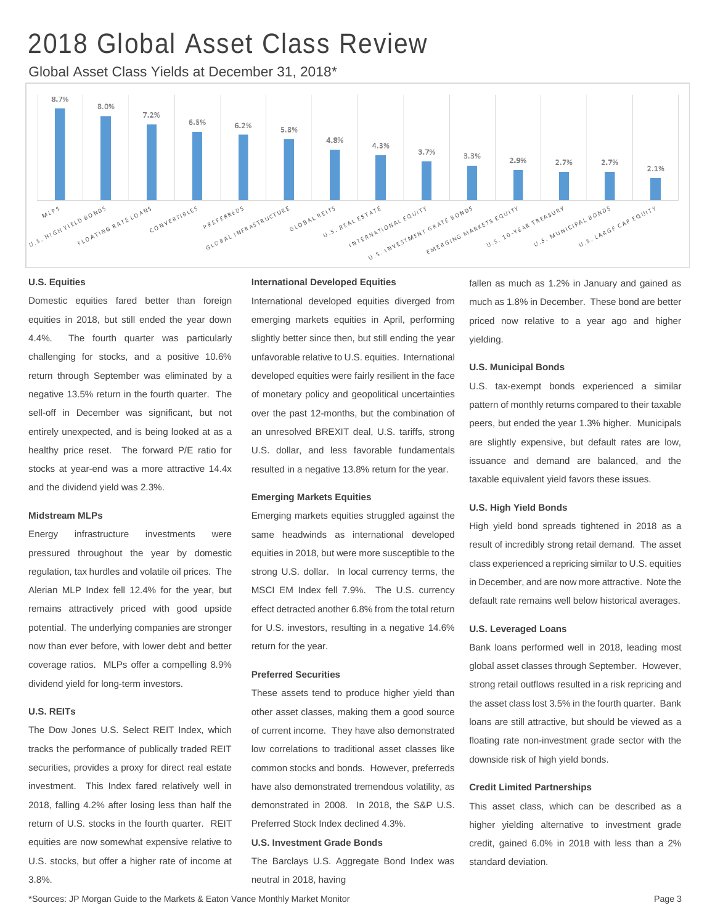# 2018 Global Asset Class Review

Global Asset Class Yields at December 31, 2018\*



#### **U.S. Equities**

Domestic equities fared better than foreign equities in 2018, but still ended the year down 4.4%. The fourth quarter was particularly challenging for stocks, and a positive 10.6% return through September was eliminated by a negative 13.5% return in the fourth quarter. The sell-off in December was significant, but not entirely unexpected, and is being looked at as a healthy price reset. The forward P/E ratio for stocks at year-end was a more attractive 14.4x and the dividend yield was 2.3%.

#### **Midstream MLPs**

Energy infrastructure investments were pressured throughout the year by domestic regulation, tax hurdles and volatile oil prices. The Alerian MLP Index fell 12.4% for the year, but remains attractively priced with good upside potential. The underlying companies are stronger now than ever before, with lower debt and better coverage ratios. MLPs offer a compelling 8.9% dividend yield for long-term investors.

#### **U.S. REITs**

The Dow Jones U.S. Select REIT Index, which tracks the performance of publically traded REIT securities, provides a proxy for direct real estate investment. This Index fared relatively well in 2018, falling 4.2% after losing less than half the return of U.S. stocks in the fourth quarter. REIT equities are now somewhat expensive relative to U.S. stocks, but offer a higher rate of income at 3.8%.

#### **International Developed Equities**

International developed equities diverged from emerging markets equities in April, performing slightly better since then, but still ending the year unfavorable relative to U.S. equities. International developed equities were fairly resilient in the face of monetary policy and geopolitical uncertainties over the past 12-months, but the combination of an unresolved BREXIT deal, U.S. tariffs, strong U.S. dollar, and less favorable fundamentals resulted in a negative 13.8% return for the year.

#### **Emerging Markets Equities**

Emerging markets equities struggled against the same headwinds as international developed equities in 2018, but were more susceptible to the strong U.S. dollar. In local currency terms, the MSCI EM Index fell 7.9%. The U.S. currency effect detracted another 6.8% from the total return for U.S. investors, resulting in a negative 14.6% return for the year.

#### **Preferred Securities**

These assets tend to produce higher yield than other asset classes, making them a good source of current income. They have also demonstrated low correlations to traditional asset classes like common stocks and bonds. However, preferreds have also demonstrated tremendous volatility, as demonstrated in 2008. In 2018, the S&P U.S. Preferred Stock Index declined 4.3%.

#### **U.S. Investment Grade Bonds**

The Barclays U.S. Aggregate Bond Index was neutral in 2018, having

fallen as much as 1.2% in January and gained as much as 1.8% in December. These bond are better priced now relative to a year ago and higher yielding.

#### **U.S. Municipal Bonds**

U.S. tax-exempt bonds experienced a similar pattern of monthly returns compared to their taxable peers, but ended the year 1.3% higher. Municipals are slightly expensive, but default rates are low, issuance and demand are balanced, and the taxable equivalent yield favors these issues.

#### **U.S. High Yield Bonds**

High yield bond spreads tightened in 2018 as a result of incredibly strong retail demand. The asset class experienced a repricing similar to U.S. equities in December, and are now more attractive. Note the default rate remains well below historical averages.

#### **U.S. Leveraged Loans**

Bank loans performed well in 2018, leading most global asset classes through September. However, strong retail outflows resulted in a risk repricing and the asset class lost 3.5% in the fourth quarter. Bank loans are still attractive, but should be viewed as a floating rate non-investment grade sector with the downside risk of high yield bonds.

#### **Credit Limited Partnerships**

This asset class, which can be described as a higher yielding alternative to investment grade credit, gained 6.0% in 2018 with less than a 2% standard deviation.